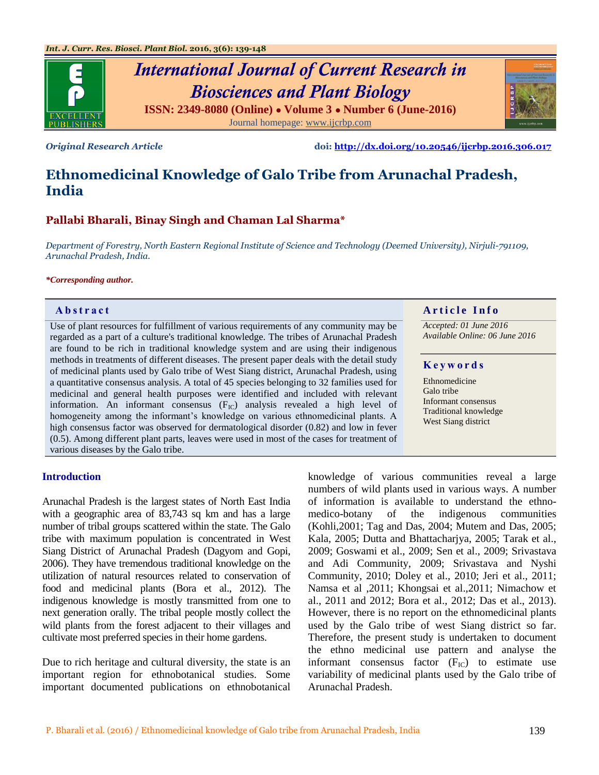

*Original Research Article* **doi:<http://dx.doi.org/10.20546/ijcrbp.2016.306.017>**

# **Ethnomedicinal Knowledge of Galo Tribe from Arunachal Pradesh, India**

# **Pallabi Bharali, Binay Singh and Chaman Lal Sharma\***

*Department of Forestry, North Eastern Regional Institute of Science and Technology (Deemed University), Nirjuli-791109, Arunachal Pradesh, India.*

#### *\*Corresponding author.*

Use of plant resources for fulfillment of various requirements of any community may be regarded as a part of a culture's traditional knowledge. The tribes of Arunachal Pradesh are found to be rich in traditional knowledge system and are using their indigenous methods in treatments of different diseases. The present paper deals with the detail study of medicinal plants used by Galo tribe of West Siang district, Arunachal Pradesh, using a quantitative consensus analysis. A total of 45 species belonging to 32 families used for medicinal and general health purposes were identified and included with relevant information. An informant consensus  $(F_{1C})$  analysis revealed a high level of homogeneity among the informant's knowledge on various ethnomedicinal plants. A high consensus factor was observed for dermatological disorder (0.82) and low in fever (0.5). Among different plant parts, leaves were used in most of the cases for treatment of various diseases by the Galo tribe.

# **Abstract A A** rticle Info

*Accepted: 01 June 2016 Available Online: 06 June 2016*

# **K e y w o r d s**

Ethnomedicine Galo tribe Informant consensus Traditional knowledge West Siang district

# **Introduction**

Arunachal Pradesh is the largest states of North East India with a geographic area of 83,743 sq km and has a large number of tribal groups scattered within the state. The Galo tribe with maximum population is concentrated in West Siang District of Arunachal Pradesh (Dagyom and Gopi, 2006). They have tremendous traditional knowledge on the utilization of natural resources related to conservation of food and medicinal plants (Bora et al., 2012). The indigenous knowledge is mostly transmitted from one to next generation orally. The tribal people mostly collect the wild plants from the forest adjacent to their villages and cultivate most preferred species in their home gardens.

Due to rich heritage and cultural diversity, the state is an important region for ethnobotanical studies. Some important documented publications on ethnobotanical

knowledge of various communities reveal a large numbers of wild plants used in various ways. A number of information is available to understand the ethnomedico-botany of the indigenous communities (Kohli,2001; Tag and Das, 2004; Mutem and Das, 2005; Kala, 2005; Dutta and Bhattacharjya, 2005; Tarak et al., 2009; Goswami et al., 2009; Sen et al., 2009; Srivastava and Adi Community, 2009; Srivastava and Nyshi Community, 2010; Doley et al., 2010; Jeri et al., 2011; Namsa et al ,2011; Khongsai et al.,2011; Nimachow et al., 2011 and 2012; Bora et al., 2012; Das et al., 2013). However, there is no report on the ethnomedicinal plants used by the Galo tribe of west Siang district so far. Therefore, the present study is undertaken to document the ethno medicinal use pattern and analyse the informant consensus factor  $(F_{IC})$  to estimate use variability of medicinal plants used by the Galo tribe of Arunachal Pradesh.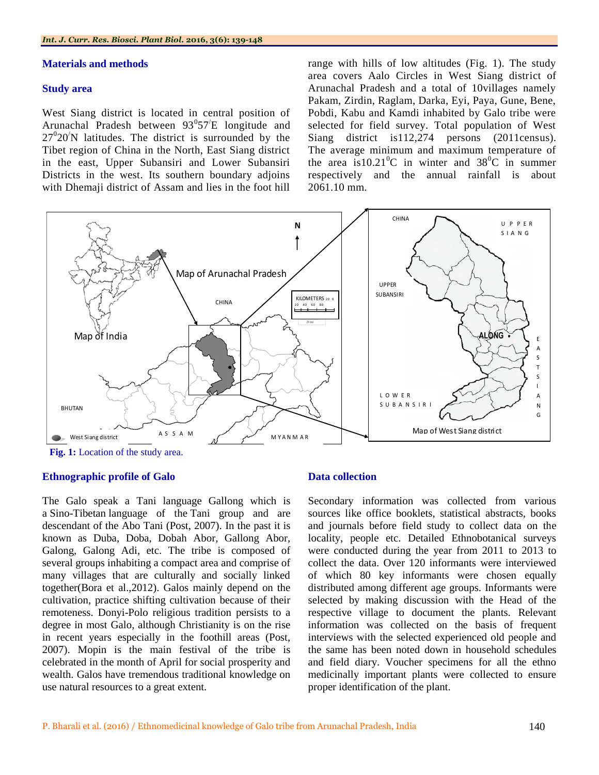# **Materials and methods**

# **Study area**

West Siang district is located in central position of Arunachal Pradesh between  $93^{\circ}57'E$  longitude and  $27^{\circ}20^{\prime}$ N latitudes. The district is surrounded by the Tibet region of China in the North, East Siang district in the east, Upper Subansiri and Lower Subansiri Districts in the west. Its southern boundary adjoins with Dhemaji district of Assam and lies in the foot hill

range with hills of low altitudes (Fig. 1). The study area covers Aalo Circles in West Siang district of Arunachal Pradesh and a total of 10villages namely Pakam, Zirdin, Raglam, Darka, Eyi, Paya, Gune, Bene, Pobdi, Kabu and Kamdi inhabited by Galo tribe were selected for field survey. Total population of West Siang district is 112,274 persons (2011census). The average minimum and maximum temperature of the area is  $10.21^{\circ}$ C in winter and  $38^{\circ}$ C in summer respectively and the annual rainfall is about 2061.10 mm.



# **Ethnographic profile of Galo**

The Galo speak a Tani language Gallong which is a Sino-Tibetan language of the Tani group and are descendant of the Abo Tani (Post, 2007). In the past it is known as Duba, Doba, Dobah Abor, Gallong Abor, Galong, Galong Adi, etc. The tribe is composed of several groups inhabiting a compact area and comprise of many villages that are culturally and socially linked together(Bora et al.,2012). Galos mainly depend on the cultivation, practice shifting cultivation because of their remoteness. Donyi-Polo religious tradition persists to a degree in most Galo, although Christianity is on the rise in recent years especially in the foothill areas (Post, 2007). Mopin is the main festival of the tribe is celebrated in the month of April for social prosperity and wealth. Galos have tremendous traditional knowledge on use natural resources to a great extent.

#### **Data collection**

Secondary information was collected from various sources like office booklets, statistical abstracts, books and journals before field study to collect data on the locality, people etc. Detailed Ethnobotanical surveys were conducted during the year from 2011 to 2013 to collect the data. Over 120 informants were interviewed of which 80 key informants were chosen equally distributed among different age groups. Informants were selected by making discussion with the Head of the respective village to document the plants. Relevant information was collected on the basis of frequent interviews with the selected experienced old people and the same has been noted down in household schedules and field diary. Voucher specimens for all the ethno medicinally important plants were collected to ensure proper identification of the plant.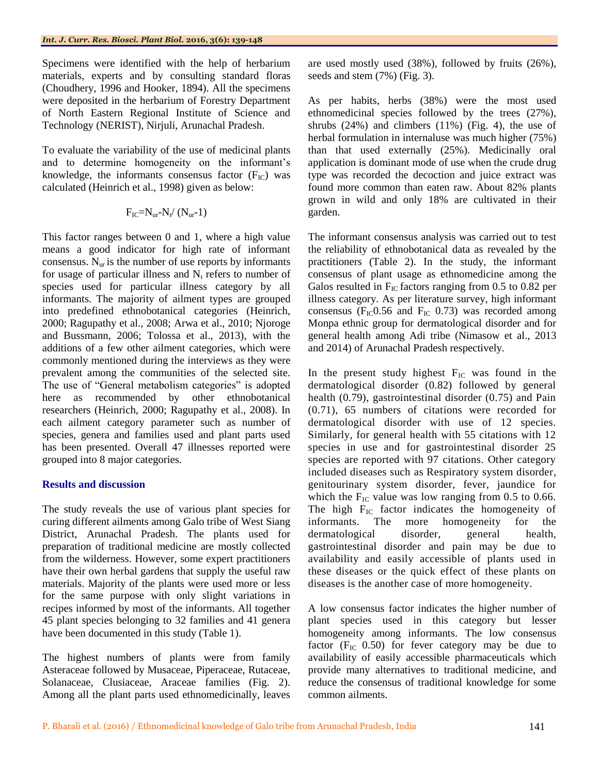Specimens were identified with the help of herbarium materials, experts and by consulting standard floras (Choudhery, 1996 and Hooker, 1894). All the specimens were deposited in the herbarium of Forestry Department of North Eastern Regional Institute of Science and Technology (NERIST), Nirjuli, Arunachal Pradesh.

To evaluate the variability of the use of medicinal plants and to determine homogeneity on the informant's knowledge, the informants consensus factor  $(F_{\text{IC}})$  was calculated (Heinrich et al., 1998) given as below:

$$
F_{IC} = N_{ur} - N_t / (N_{ur} - 1)
$$

This factor ranges between 0 and 1, where a high value means a good indicator for high rate of informant consensus.  $N_{\text{ur}}$  is the number of use reports by informants for usage of particular illness and  $N_t$  refers to number of species used for particular illness category by all informants. The majority of ailment types are grouped into predefined ethnobotanical categories (Heinrich, 2000; Ragupathy et al., 2008; Arwa et al., 2010; Njoroge and Bussmann, 2006; Tolossa et al., 2013), with the additions of a few other ailment categories, which were commonly mentioned during the interviews as they were prevalent among the communities of the selected site. The use of "General metabolism categories" is adopted here as recommended by other ethnobotanical researchers (Heinrich, 2000; Ragupathy et al., 2008). In each ailment category parameter such as number of species, genera and families used and plant parts used has been presented. Overall 47 illnesses reported were grouped into 8 major categories.

# **Results and discussion**

The study reveals the use of various plant species for curing different ailments among Galo tribe of West Siang District, Arunachal Pradesh. The plants used for preparation of traditional medicine are mostly collected from the wilderness. However, some expert practitioners have their own herbal gardens that supply the useful raw materials. Majority of the plants were used more or less for the same purpose with only slight variations in recipes informed by most of the informants. All together 45 plant species belonging to 32 families and 41 genera have been documented in this study (Table 1).

The highest numbers of plants were from family Asteraceae followed by Musaceae, Piperaceae, Rutaceae, Solanaceae, Clusiaceae, Araceae families (Fig. 2). Among all the plant parts used ethnomedicinally, leaves are used mostly used (38%), followed by fruits (26%), seeds and stem (7%) (Fig. 3).

As per habits, herbs (38%) were the most used ethnomedicinal species followed by the trees (27%), shrubs  $(24%)$  and climbers  $(11%)$  (Fig. 4), the use of herbal formulation in internaluse was much higher (75%) than that used externally (25%). Medicinally oral application is dominant mode of use when the crude drug type was recorded the decoction and juice extract was found more common than eaten raw. About 82% plants grown in wild and only 18% are cultivated in their garden.

The informant consensus analysis was carried out to test the reliability of ethnobotanical data as revealed by the practitioners (Table 2). In the study, the informant consensus of plant usage as ethnomedicine among the Galos resulted in  $F_{IC}$  factors ranging from 0.5 to 0.82 per illness category. As per literature survey, high informant consensus ( $F_{IC}$ 0.56 and  $F_{IC}$  0.73) was recorded among Monpa ethnic group for dermatological disorder and for general health among Adi tribe (Nimasow et al., 2013 and 2014) of Arunachal Pradesh respectively.

In the present study highest  $F_{IC}$  was found in the dermatological disorder (0.82) followed by general health (0.79), gastrointestinal disorder (0.75) and Pain (0.71), 65 numbers of citations were recorded for dermatological disorder with use of 12 species. Similarly, for general health with 55 citations with 12 species in use and for gastrointestinal disorder 25 species are reported with 97 citations. Other category included diseases such as Respiratory system disorder, genitourinary system disorder, fever, jaundice for which the  $F_{IC}$  value was low ranging from 0.5 to 0.66. The high  $F_{IC}$  factor indicates the homogeneity of informants. The more homogeneity for the dermatological disorder, general health, gastrointestinal disorder and pain may be due to availability and easily accessible of plants used in these diseases or the quick effect of these plants on diseases is the another case of more homogeneity.

A low consensus factor indicates the higher number of plant species used in this category but lesser homogeneity among informants. The low consensus factor  $(F_{IC}$  0.50) for fever category may be due to availability of easily accessible pharmaceuticals which provide many alternatives to traditional medicine, and reduce the consensus of traditional knowledge for some common ailments.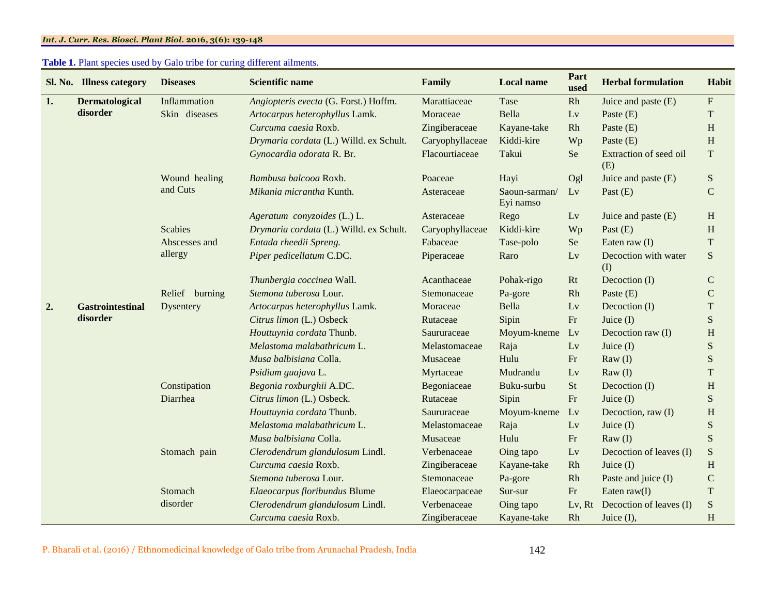# **Table 1.** Plant species used by Galo tribe for curing different ailments.

|    | Sl. No. Illness category | <b>Diseases</b>  | <b>Scientific name</b>                  | Family          | <b>Local name</b>            | Part<br>used | <b>Herbal formulation</b>     | Habit                     |
|----|--------------------------|------------------|-----------------------------------------|-----------------|------------------------------|--------------|-------------------------------|---------------------------|
| 1. | <b>Dermatological</b>    | Inflammation     | Angiopteris evecta (G. Forst.) Hoffm.   | Marattiaceae    | Tase                         | Rh           | Juice and paste (E)           | $\boldsymbol{\mathrm{F}}$ |
|    | disorder                 | Skin diseases    | Artocarpus heterophyllus Lamk.          | Moraceae        | Bella                        | Lv           | Paste $(E)$                   | T                         |
|    |                          |                  | Curcuma caesia Roxb.                    | Zingiberaceae   | Kayane-take                  | Rh           | Paste $(E)$                   | $\,$ H                    |
|    |                          |                  | Drymaria cordata (L.) Willd. ex Schult. | Caryophyllaceae | Kiddi-kire                   | Wp           | Paste $(E)$                   | $\, {\rm H}$              |
|    |                          |                  | Gynocardia odorata R. Br.               | Flacourtiaceae  | Takui                        | Se           | Extraction of seed oil<br>(E) | ${\bf T}$                 |
|    |                          | Wound healing    | Bambusa balcooa Roxb.                   | Poaceae         | Hayi                         | Ogl          | Juice and paste (E)           | ${\bf S}$                 |
|    |                          | and Cuts         | Mikania micrantha Kunth.                | Asteraceae      | $Saoun-sarman/$<br>Eyi namso | Lv           | Past $(E)$                    | ${\bf C}$                 |
|    |                          |                  | Ageratum conyzoides (L.) L.             | Asteraceae      | Rego                         | Lv           | Juice and paste (E)           | H                         |
|    |                          | <b>Scabies</b>   | Drymaria cordata (L.) Willd. ex Schult. | Caryophyllaceae | Kiddi-kire                   | Wp           | Past $(E)$                    | $\, {\rm H}$              |
|    |                          | Abscesses and    | Entada rheedii Spreng.                  | Fabaceae        | Tase-polo                    | Se           | Eaten raw $(I)$               | ${\bf T}$                 |
|    |                          | allergy          | Piper pedicellatum C.DC.                | Piperaceae      | Raro                         | Lv           | Decoction with water<br>(I)   | S                         |
|    |                          |                  | Thunbergia coccinea Wall.               | Acanthaceae     | Pohak-rigo                   | Rt           | Decoction (I)                 | $\mathbf C$               |
|    |                          | Relief burning   | Stemona tuberosa Lour.                  | Stemonaceae     | Pa-gore                      | Rh           | Paste $(E)$                   | $\mathbf C$               |
| 2. | <b>Gastrointestinal</b>  | <b>Dysentery</b> | Artocarpus heterophyllus Lamk.          | Moraceae        | Bella                        | Lv           | Decoction (I)                 | $\mathbf T$               |
|    | disorder                 |                  | Citrus limon (L.) Osbeck                | Rutaceae        | Sipin                        | $\rm Fr$     | Juice $(I)$                   | S                         |
|    |                          |                  | Houttuynia cordata Thunb.               | Saururaceae     | Moyum-kneme                  | Lv           | Decoction raw (I)             | $\, {\rm H}$              |
|    |                          |                  | Melastoma malabathricum L.              | Melastomaceae   | Raja                         | Lv           | Juice $(I)$                   | ${\bf S}$                 |
|    |                          |                  | Musa balbisiana Colla.                  | Musaceae        | Hulu                         | Fr           | $\text{Raw}(I)$               | S                         |
|    |                          |                  | Psidium guajava L.                      | Myrtaceae       | Mudrandu                     | Lv           | $\text{Raw}(I)$               | $\mathbf T$               |
|    |                          | Constipation     | Begonia roxburghii A.DC.                | Begoniaceae     | Buku-surbu                   | <b>St</b>    | Decoction (I)                 | $\, {\rm H}$              |
|    |                          | Diarrhea         | Citrus limon (L.) Osbeck.               | Rutaceae        | Sipin                        | $\rm Fr$     | Juice $(I)$                   | ${\bf S}$                 |
|    |                          |                  | Houttuynia cordata Thunb.               | Saururaceae     | Moyum-kneme                  | Lv           | Decoction, raw (I)            | $\,$ H                    |
|    |                          |                  | Melastoma malabathricum L.              | Melastomaceae   | Raja                         | Lv           | Juice $(I)$                   | ${\bf S}$                 |
|    |                          |                  | Musa balbisiana Colla.                  | Musaceae        | Hulu                         | Fr           | $\text{Raw}(I)$               | S                         |
|    |                          | Stomach pain     | Clerodendrum glandulosum Lindl.         | Verbenaceae     | Oing tapo                    | Lv           | Decoction of leaves (I)       | ${\bf S}$                 |
|    |                          |                  | Curcuma caesia Roxb.                    | Zingiberaceae   | Kayane-take                  | Rh           | Juice $(I)$                   | $\, {\rm H}$              |
|    |                          |                  | Stemona tuberosa Lour.                  | Stemonaceae     | Pa-gore                      | Rh           | Paste and juice (I)           | ${\bf C}$                 |
|    |                          | Stomach          | Elaeocarpus floribundus Blume           | Elaeocarpaceae  | Sur-sur                      | Fr           | Eaten $raw(I)$                | $\mathbf T$               |
|    |                          | disorder         | Clerodendrum glandulosum Lindl.         | Verbenaceae     | Oing tapo                    | Lv, Rt       | Decoction of leaves (I)       | ${\bf S}$                 |
|    |                          |                  | Curcuma caesia Roxb.                    | Zingiberaceae   | Kayane-take                  | Rh           | Juice $(I)$ ,                 | H                         |

P. Bharali et al. (2016) / Ethnomedicinal knowledge of Galo tribe from Arunachal Pradesh, India 142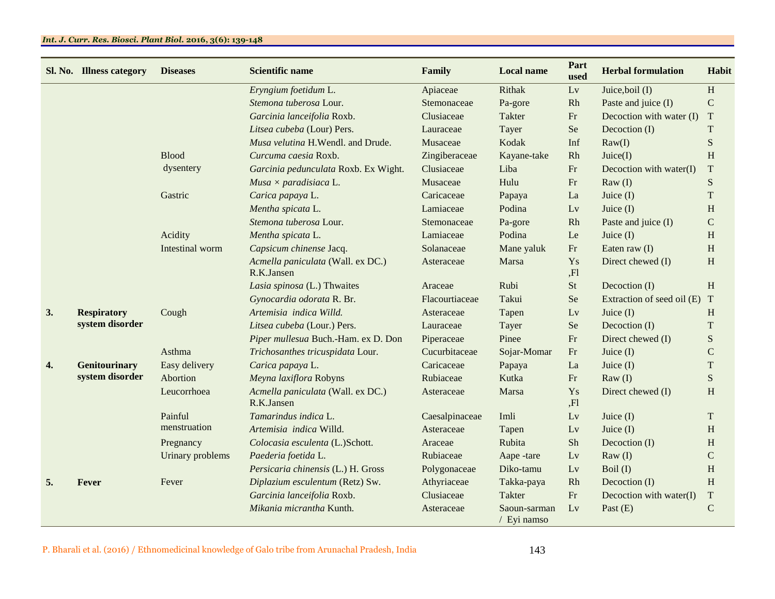|    | Sl. No. Illness category | <b>Diseases</b>  | <b>Scientific name</b>                          | Family         | <b>Local name</b>           | Part<br>used | <b>Herbal formulation</b>  | <b>Habit</b> |
|----|--------------------------|------------------|-------------------------------------------------|----------------|-----------------------------|--------------|----------------------------|--------------|
|    |                          |                  | Eryngium foetidum L.                            | Apiaceae       | Rithak                      | Lv           | Juice, boil (I)            | H            |
|    |                          |                  | Stemona tuberosa Lour.                          | Stemonaceae    | Pa-gore                     | Rh           | Paste and juice (I)        | $\mathsf{C}$ |
|    |                          |                  | Garcinia lanceifolia Roxb.                      | Clusiaceae     | Takter                      | Fr           | Decoction with water (I)   | T            |
|    |                          |                  | Litsea cubeba (Lour) Pers.                      | Lauraceae      | Tayer                       | Se           | Decoction (I)              | T            |
|    |                          |                  | Musa velutina H.Wendl. and Drude.               | Musaceae       | Kodak                       | Inf          | Raw(I)                     | ${\bf S}$    |
|    |                          | <b>Blood</b>     | Curcuma caesia Roxb.                            | Zingiberaceae  | Kayane-take                 | Rh           | Juice(I)                   | H            |
|    |                          | dysentery        | Garcinia pedunculata Roxb. Ex Wight.            | Clusiaceae     | Liba                        | $\rm Fr$     | Decoction with water $(I)$ | $\mathbf T$  |
|    |                          |                  | $Musa \times paradisiaca L.$                    | Musaceae       | Hulu                        | Fr           | $\text{Raw}(I)$            | ${\bf S}$    |
|    |                          | Gastric          | Carica papaya L.                                | Caricaceae     | Papaya                      | La           | Juice $(I)$                | ${\bf T}$    |
|    |                          |                  | Mentha spicata L.                               | Lamiaceae      | Podina                      | Lv           | Juice $(I)$                | H            |
|    |                          |                  | Stemona tuberosa Lour.                          | Stemonaceae    | Pa-gore                     | Rh           | Paste and juice (I)        | $\mathsf{C}$ |
|    |                          | Acidity          | Mentha spicata L.                               | Lamiaceae      | Podina                      | Le           | Juice $(I)$                | H            |
|    |                          | Intestinal worm  | Capsicum chinense Jacq.                         | Solanaceae     | Mane yaluk                  | Fr           | Eaten raw $(I)$            | H            |
|    |                          |                  | Acmella paniculata (Wall. ex DC.)<br>R.K.Jansen | Asteraceae     | Marsa                       | Ys<br>,Fl    | Direct chewed (I)          | H            |
|    |                          |                  | Lasia spinosa (L.) Thwaites                     | Araceae        | Rubi                        | St           | Decoction (I)              | H            |
|    |                          |                  | Gynocardia odorata R. Br.                       | Flacourtiaceae | Takui                       | Se           | Extraction of seed oil (E) | T            |
| 3. | <b>Respiratory</b>       | Cough            | Artemisia indica Willd.                         | Asteraceae     | Tapen                       | Lv           | Juice $(I)$                | H            |
|    | system disorder          |                  | Litsea cubeba (Lour.) Pers.                     | Lauraceae      | Tayer                       | Se           | Decoction (I)              | $\mathbf T$  |
|    |                          |                  | Piper mullesua Buch.-Ham. ex D. Don             | Piperaceae     | Pinee                       | $\rm Fr$     | Direct chewed (I)          | ${\bf S}$    |
|    |                          | Asthma           | Trichosanthes tricuspidata Lour.                | Cucurbitaceae  | Sojar-Momar                 | $\rm Fr$     | Juice $(I)$                | $\mathbf C$  |
| 4. | Genitourinary            | Easy delivery    | Carica papaya L.                                | Caricaceae     | Papaya                      | La           | Juice $(I)$                | T            |
|    | system disorder          | Abortion         | Meyna laxiflora Robyns                          | Rubiaceae      | Kutka                       | Fr           | $\text{Raw}(I)$            | ${\bf S}$    |
|    |                          | Leucorrhoea      | Acmella paniculata (Wall. ex DC.)<br>R.K.Jansen | Asteraceae     | Marsa                       | Ys<br>, F1   | Direct chewed (I)          | H            |
|    |                          | Painful          | Tamarindus indica L.                            | Caesalpinaceae | Imli                        | Lv           | Juice $(I)$                | T            |
|    |                          | menstruation     | Artemisia indica Willd.                         | Asteraceae     | Tapen                       | Lv           | Juice $(I)$                | H            |
|    |                          | Pregnancy        | Colocasia esculenta (L.)Schott.                 | Araceae        | Rubita                      | Sh           | Decoction (I)              | H            |
|    |                          | Urinary problems | Paederia foetida L.                             | Rubiaceae      | Aape -tare                  | Lv           | $\text{Raw}(I)$            | $\mathsf{C}$ |
|    |                          |                  | Persicaria chinensis (L.) H. Gross              | Polygonaceae   | Diko-tamu                   | Lv           | Boil $(I)$                 | H            |
| 5. | Fever                    | Fever            | Diplazium esculentum (Retz) Sw.                 | Athyriaceae    | Takka-paya                  | Rh           | Decoction (I)              | H            |
|    |                          |                  | Garcinia lanceifolia Roxb.                      | Clusiaceae     | Takter                      | Fr           | Decoction with water $(I)$ | T            |
|    |                          |                  | Mikania micrantha Kunth.                        | Asteraceae     | Saoun-sarman<br>/ Eyi namso | Lv           | Past (E)                   | $\mathsf{C}$ |

P. Bharali et al. (2016) / Ethnomedicinal knowledge of Galo tribe from Arunachal Pradesh, India 143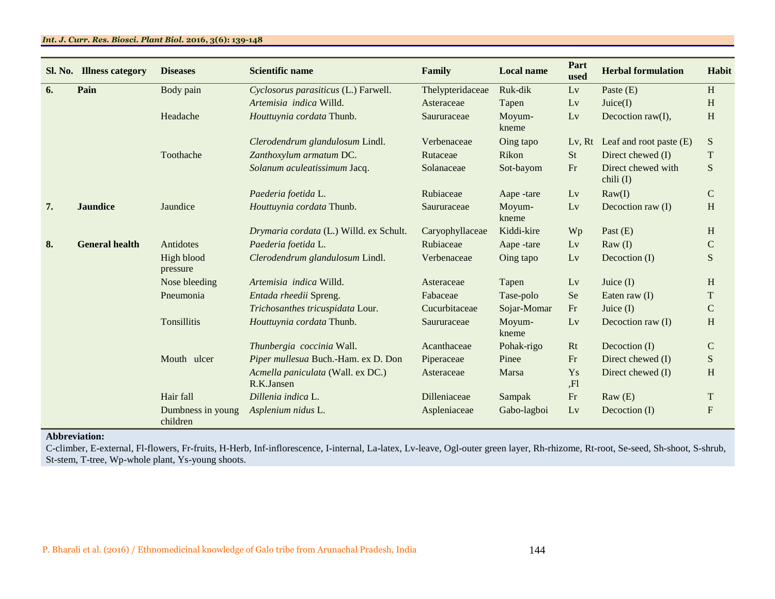# *Int. J. Curr. Res. Biosci. Plant Biol.* **2016, 3(6): 139-148**

| Sl. No. | <b>Illness category</b> | <b>Diseases</b>               | <b>Scientific name</b>                          | Family           | <b>Local name</b> | Part<br>used | <b>Herbal formulation</b>         | Habit         |
|---------|-------------------------|-------------------------------|-------------------------------------------------|------------------|-------------------|--------------|-----------------------------------|---------------|
| 6.      | Pain                    | Body pain                     | Cyclosorus parasiticus (L.) Farwell.            | Thelypteridaceae | Ruk-dik           | Lv           | Paste $(E)$                       | H             |
|         |                         |                               | Artemisia indica Willd.                         | Asteraceae       | Tapen             | Lv           | Juice(I)                          | H             |
|         |                         | Headache                      | Houttuynia cordata Thunb.                       | Saururaceae      | Moyum-<br>kneme   | Lv           | Decoction raw(I),                 | $\, {\rm H}$  |
|         |                         |                               | Clerodendrum glandulosum Lindl.                 | Verbenaceae      | Oing tapo         | Lv, Rt       | Leaf and root paste $(E)$         | S             |
|         |                         | Toothache                     | Zanthoxylum armatum DC.                         | Rutaceae         | Rikon             | <b>St</b>    | Direct chewed (I)                 | T             |
|         |                         |                               | Solanum aculeatissimum Jacq.                    | Solanaceae       | Sot-bayom         | Fr           | Direct chewed with<br>chili $(I)$ | S             |
|         |                         |                               | Paederia foetida L.                             | Rubiaceae        | Aape -tare        | Lv           | $\text{Raw}(I)$                   | $\mathcal{C}$ |
| 7.      | <b>Jaundice</b>         | Jaundice                      | Houttuynia cordata Thunb.                       | Saururaceae      | Moyum-<br>kneme   | Lv           | Decoction raw (I)                 | H             |
|         |                         |                               | Drymaria cordata (L.) Willd. ex Schult.         | Caryophyllaceae  | Kiddi-kire        | Wp           | Past $(E)$                        | H             |
| 8.      | <b>General health</b>   | Antidotes                     | Paederia foetida L.                             | Rubiaceae        | Aape -tare        | Lv           | $\text{Raw}(I)$                   | $\mathbf C$   |
|         |                         | High blood<br>pressure        | Clerodendrum glandulosum Lindl.                 | Verbenaceae      | Oing tapo         | Lv           | Decoction (I)                     | S             |
|         |                         | Nose bleeding                 | Artemisia indica Willd.                         | Asteraceae       | Tapen             | Lv           | Juice $(I)$                       | H             |
|         |                         | Pneumonia                     | Entada rheedii Spreng.                          | Fabaceae         | Tase-polo         | Se           | Eaten raw $(I)$                   | T             |
|         |                         |                               | Trichosanthes tricuspidata Lour.                | Cucurbitaceae    | Sojar-Momar       | Fr           | Juice $(I)$                       | $\mathcal{C}$ |
|         |                         | <b>Tonsillitis</b>            | Houttuynia cordata Thunb.                       | Saururaceae      | Moyum-<br>kneme   | Lv           | Decoction raw (I)                 | H             |
|         |                         |                               | Thunbergia coccinia Wall.                       | Acanthaceae      | Pohak-rigo        | Rt           | Decoction (I)                     | $\mathbf C$   |
|         |                         | Mouth ulcer                   | Piper mullesua Buch.-Ham. ex D. Don             | Piperaceae       | Pinee             | Fr           | Direct chewed (I)                 | S             |
|         |                         |                               | Acmella paniculata (Wall. ex DC.)<br>R.K.Jansen | Asteraceae       | Marsa             | Ys<br>,Fl    | Direct chewed (I)                 | H             |
|         |                         | Hair fall                     | Dillenia indica L.                              | Dilleniaceae     | Sampak            | $\rm Fr$     | $\text{Raw}(E)$                   | T             |
|         |                         | Dumbness in young<br>children | Asplenium nidus L.                              | Aspleniaceae     | Gabo-lagboi       | Lv           | Decoction (I)                     | $\mathbf{F}$  |

# **Abbreviation:**

C-climber, E-external, Fl-flowers, Fr-fruits, H-Herb, Inf-inflorescence, I-internal, La-latex, Lv-leave, Ogl-outer green layer, Rh-rhizome, Rt-root, Se-seed, Sh-shoot, S-shrub, St-stem, T-tree, Wp-whole plant, Ys-young shoots.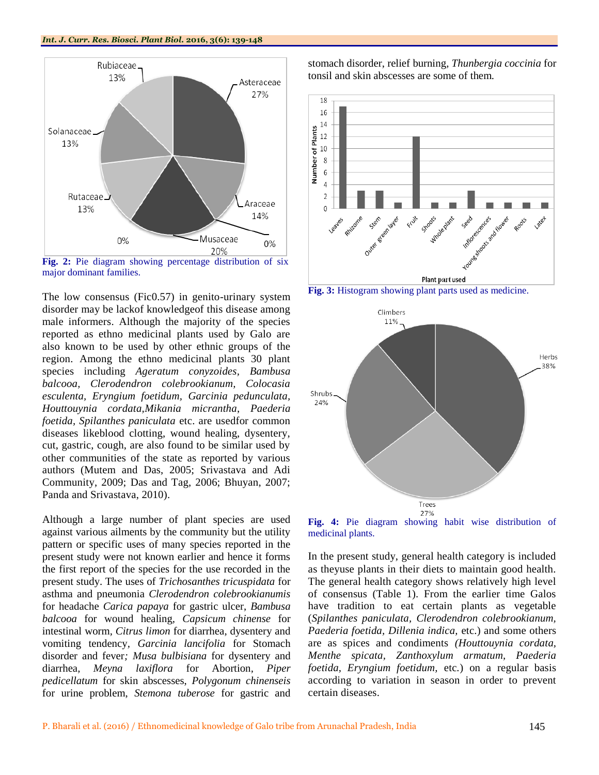

**Fig. 2:** Pie diagram showing percentage distribution of six major dominant families.

The low consensus (Fic0.57) in genito-urinary system disorder may be lackof knowledgeof this disease among male informers. Although the majority of the species reported as ethno medicinal plants used by Galo are also known to be used by other ethnic groups of the region. Among the ethno medicinal plants 30 plant species including *Ageratum conyzoides, Bambusa balcooa, Clerodendron colebrookianum, Colocasia esculenta, Eryngium foetidum, Garcinia pedunculata, Houttouynia cordata,Mikania micrantha*, *Paederia foetida, Spilanthes paniculata* etc. are usedfor common diseases likeblood clotting, wound healing, dysentery, cut, gastric, cough, are also found to be similar used by other communities of the state as reported by various authors (Mutem and Das, 2005; Srivastava and Adi Community, 2009; Das and Tag, 2006; Bhuyan, 2007; Panda and Srivastava, 2010).

Although a large number of plant species are used against various ailments by the community but the utility pattern or specific uses of many species reported in the present study were not known earlier and hence it forms the first report of the species for the use recorded in the present study. The uses of *Trichosanthes tricuspidata* for asthma and pneumonia *Clerodendron colebrookianumis*  for headache *Carica papaya* for gastric ulcer, *Bambusa balcooa* for wound healing*, Capsicum chinense* for intestinal worm*, Citrus limon* for diarrhea, dysentery and vomiting tendency*, Garcinia lancifolia* for Stomach disorder and fever*; Musa bulbisiana* for dysentery and diarrhea*, Meyna laxiflora* for Abortion*, Piper pedicellatum* for skin abscesses, *Polygonum chinenseis*  for urine problem, *Stemona tuberose* for gastric and

stomach disorder, relief burning*, Thunbergia coccinia* for tonsil and skin abscesses are some of them*.*







**Fig. 4:** Pie diagram showing habit wise distribution of medicinal plants.

In the present study, general health category is included as theyuse plants in their diets to maintain good health. The general health category shows relatively high level of consensus (Table 1). From the earlier time Galos have tradition to eat certain plants as vegetable (*Spilanthes paniculata, Clerodendron colebrookianum, Paederia foetida, Dillenia indica,* etc.) and some others are as spices and condiments *(Houttouynia cordata, Menthe spicata, Zanthoxylum armatum, Paederia foetida, Eryngium foetidum,* etc*.*) on a regular basis according to variation in season in order to prevent certain diseases.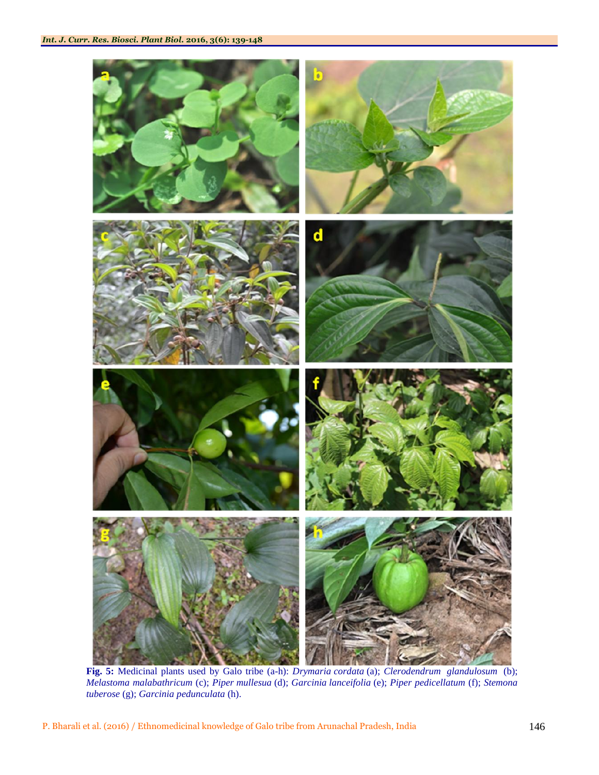

**Fig. 5:** Medicinal plants used by Galo tribe (a-h): *Drymaria cordata* (a); *Clerodendrum glandulosum* (b); *Melastoma malabathricum* (c); *Piper mullesua* (d); *Garcinia lanceifolia* (e); *Piper pedicellatum* (f); *Stemona tuberose* (g); *Garcinia pedunculata* (h).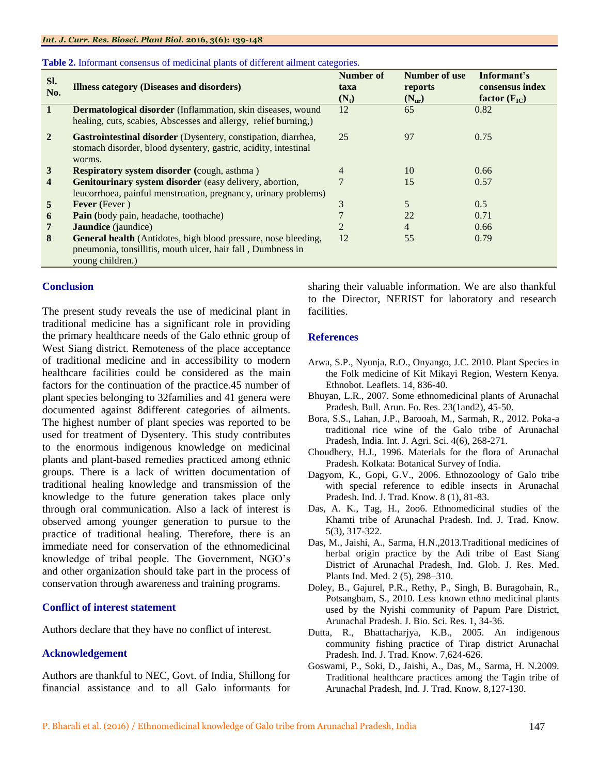| Sl.<br>No.     | <b>Illness category (Diseases and disorders)</b>                                                                                                  | Number of<br>taxa<br>$(N_t)$ | Number of use<br>reports<br>$(N_{\rm ur})$ | Informant's<br>consensus index<br>factor $(F_{IC})$ |
|----------------|---------------------------------------------------------------------------------------------------------------------------------------------------|------------------------------|--------------------------------------------|-----------------------------------------------------|
| <sup>1</sup>   | Dermatological disorder (Inflammation, skin diseases, wound<br>healing, cuts, scabies, Abscesses and allergy, relief burning,)                    | 12                           | 65                                         | 0.82                                                |
| $\overline{2}$ | Gastrointestinal disorder (Dysentery, constipation, diarrhea,<br>stomach disorder, blood dysentery, gastric, acidity, intestinal<br>worms.        | 25                           | 97                                         | 0.75                                                |
| 3              | <b>Respiratory system disorder (cough, asthma)</b>                                                                                                | 4                            | 10                                         | 0.66                                                |
| 4              | Genitourinary system disorder (easy delivery, abortion,<br>leucorrhoea, painful menstruation, pregnancy, urinary problems)                        |                              | 15                                         | 0.57                                                |
| 5              | <b>Fever</b> (Fever)                                                                                                                              | 3                            | 5                                          | 0.5                                                 |
| 6              | <b>Pain</b> (body pain, headache, toothache)                                                                                                      |                              | 22                                         | 0.71                                                |
| 7              | <b>Jaundice</b> (jaundice)                                                                                                                        | $\overline{c}$               | $\overline{4}$                             | 0.66                                                |
| 8              | General health (Antidotes, high blood pressure, nose bleeding,<br>pneumonia, tonsillitis, mouth ulcer, hair fall, Dumbness in<br>young children.) | 12                           | 55                                         | 0.79                                                |

#### **Table 2.** Informant consensus of medicinal plants of different ailment categories.

# **Conclusion**

The present study reveals the use of medicinal plant in traditional medicine has a significant role in providing the primary healthcare needs of the Galo ethnic group of West Siang district. Remoteness of the place acceptance of traditional medicine and in accessibility to modern healthcare facilities could be considered as the main factors for the continuation of the practice.45 number of plant species belonging to 32families and 41 genera were documented against 8different categories of ailments. The highest number of plant species was reported to be used for treatment of Dysentery. This study contributes to the enormous indigenous knowledge on medicinal plants and plant-based remedies practiced among ethnic groups. There is a lack of written documentation of traditional healing knowledge and transmission of the knowledge to the future generation takes place only through oral communication. Also a lack of interest is observed among younger generation to pursue to the practice of traditional healing. Therefore, there is an immediate need for conservation of the ethnomedicinal knowledge of tribal people. The Government, NGO's and other organization should take part in the process of conservation through awareness and training programs.

# **Conflict of interest statement**

Authors declare that they have no conflict of interest.

# **Acknowledgement**

Authors are thankful to NEC, Govt. of India, Shillong for financial assistance and to all Galo informants for sharing their valuable information. We are also thankful to the Director, NERIST for laboratory and research facilities.

# **References**

- Arwa, S.P., Nyunja, R.O., Onyango, J.C. 2010. Plant Species in the Folk medicine of Kit Mikayi Region, Western Kenya. Ethnobot. Leaflets. 14, 836-40.
- Bhuyan, L.R., 2007. Some ethnomedicinal plants of Arunachal Pradesh. Bull. Arun. Fo. Res. 23(1and2), 45-50.
- Bora, S.S., Lahan, J.P., Barooah, M., Sarmah, R., 2012. Poka-a traditional rice wine of the Galo tribe of Arunachal Pradesh, India. Int. J. Agri. Sci. 4(6), 268-271.
- Choudhery, H.J., 1996. Materials for the flora of Arunachal Pradesh. Kolkata: Botanical Survey of India.
- Dagyom, K., Gopi, G.V., 2006. Ethnozoology of Galo tribe with special reference to edible insects in Arunachal Pradesh. Ind. J. Trad. Know. 8 (1), 81-83.
- Das, A. K., Tag, H., 2oo6. Ethnomedicinal studies of the Khamti tribe of Arunachal Pradesh. Ind. J. Trad. Know. 5(3), 317-322.
- Das, M., Jaishi, A., Sarma, H.N.,2013.Traditional medicines of herbal origin practice by the Adi tribe of East Siang District of Arunachal Pradesh, Ind. Glob. J. Res. Med. Plants Ind. Med. 2 (5), 298–310.
- Doley, B., Gajurel, P.R., Rethy, P., Singh, B. Buragohain, R., Potsangbam, S., 2010. Less known ethno medicinal plants used by the Nyishi community of Papum Pare District, Arunachal Pradesh. J. Bio. Sci. Res. 1, 34-36.
- Dutta, R., Bhattacharjya, K.B., 2005. An indigenous community fishing practice of Tirap district Arunachal Pradesh. Ind. J. Trad. Know. 7,624-626.
- Goswami, P., Soki, D., Jaishi, A., Das, M., Sarma, H. N.2009. Traditional healthcare practices among the Tagin tribe of Arunachal Pradesh, Ind. J. Trad. Know. 8,127-130.